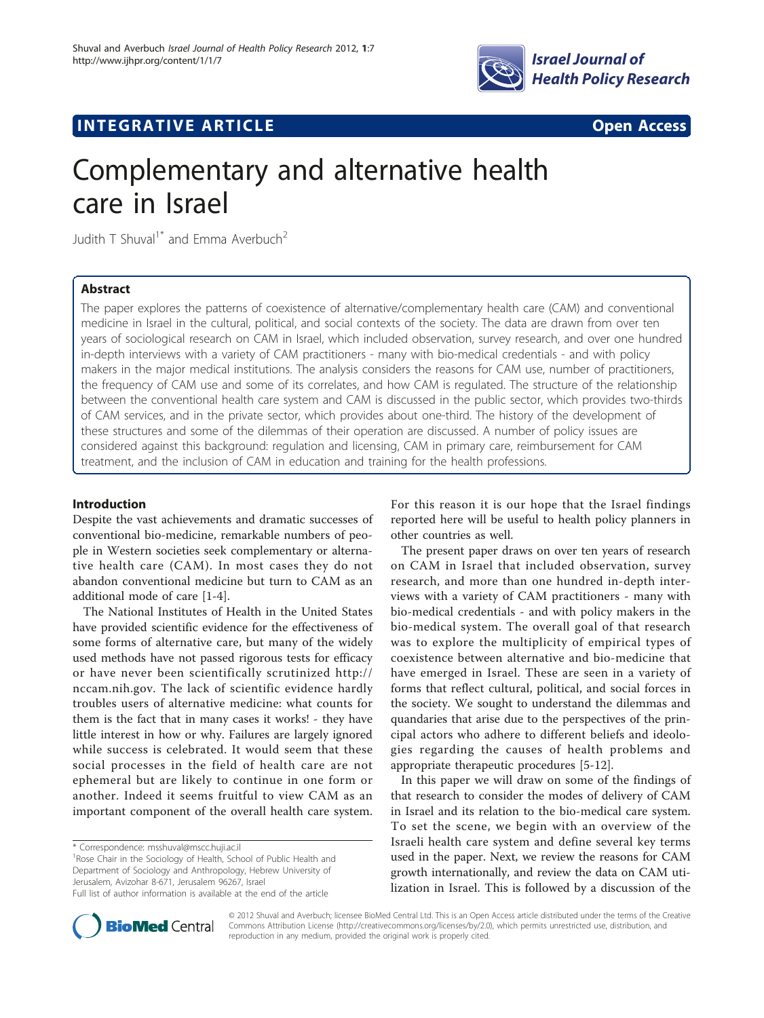

# **INTEGRATIVE ARTICLE Example 2018 10 Access**



# Complementary and alternative health care in Israel

Judith T Shuval<sup>1\*</sup> and Emma Averbuch<sup>2</sup>

# Abstract

The paper explores the patterns of coexistence of alternative/complementary health care (CAM) and conventional medicine in Israel in the cultural, political, and social contexts of the society. The data are drawn from over ten years of sociological research on CAM in Israel, which included observation, survey research, and over one hundred in-depth interviews with a variety of CAM practitioners - many with bio-medical credentials - and with policy makers in the major medical institutions. The analysis considers the reasons for CAM use, number of practitioners, the frequency of CAM use and some of its correlates, and how CAM is regulated. The structure of the relationship between the conventional health care system and CAM is discussed in the public sector, which provides two-thirds of CAM services, and in the private sector, which provides about one-third. The history of the development of these structures and some of the dilemmas of their operation are discussed. A number of policy issues are considered against this background: regulation and licensing, CAM in primary care, reimbursement for CAM treatment, and the inclusion of CAM in education and training for the health professions.

## Introduction

Despite the vast achievements and dramatic successes of conventional bio-medicine, remarkable numbers of people in Western societies seek complementary or alternative health care (CAM). In most cases they do not abandon conventional medicine but turn to CAM as an additional mode of care [[1-4](#page-10-0)].

The National Institutes of Health in the United States have provided scientific evidence for the effectiveness of some forms of alternative care, but many of the widely used methods have not passed rigorous tests for efficacy or have never been scientifically scrutinized [http://](http://nccam.nih.gov) [nccam.nih.gov](http://nccam.nih.gov). The lack of scientific evidence hardly troubles users of alternative medicine: what counts for them is the fact that in many cases it works! - they have little interest in how or why. Failures are largely ignored while success is celebrated. It would seem that these social processes in the field of health care are not ephemeral but are likely to continue in one form or another. Indeed it seems fruitful to view CAM as an important component of the overall health care system.

\* Correspondence: [msshuval@mscc.huji.ac.il](mailto:msshuval@mscc.huji.ac.il)

<sup>1</sup>Rose Chair in the Sociology of Health, School of Public Health and Department of Sociology and Anthropology, Hebrew University of Jerusalem, Avizohar 8-671, Jerusalem 96267, Israel

For this reason it is our hope that the Israel findings reported here will be useful to health policy planners in other countries as well.

The present paper draws on over ten years of research on CAM in Israel that included observation, survey research, and more than one hundred in-depth interviews with a variety of CAM practitioners - many with bio-medical credentials - and with policy makers in the bio-medical system. The overall goal of that research was to explore the multiplicity of empirical types of coexistence between alternative and bio-medicine that have emerged in Israel. These are seen in a variety of forms that reflect cultural, political, and social forces in the society. We sought to understand the dilemmas and quandaries that arise due to the perspectives of the principal actors who adhere to different beliefs and ideologies regarding the causes of health problems and appropriate therapeutic procedures [\[5](#page-10-0)-[12](#page-10-0)].

In this paper we will draw on some of the findings of that research to consider the modes of delivery of CAM in Israel and its relation to the bio-medical care system. To set the scene, we begin with an overview of the Israeli health care system and define several key terms used in the paper. Next, we review the reasons for CAM growth internationally, and review the data on CAM utilization in Israel. This is followed by a discussion of the



© 2012 Shuval and Averbuch; licensee BioMed Central Ltd. This is an Open Access article distributed under the terms of the Creative Commons Attribution License [\(http://creativecommons.org/licenses/by/2.0](http://creativecommons.org/licenses/by/2.0)), which permits unrestricted use, distribution, and reproduction in any medium, provided the original work is properly cited.

Full list of author information is available at the end of the article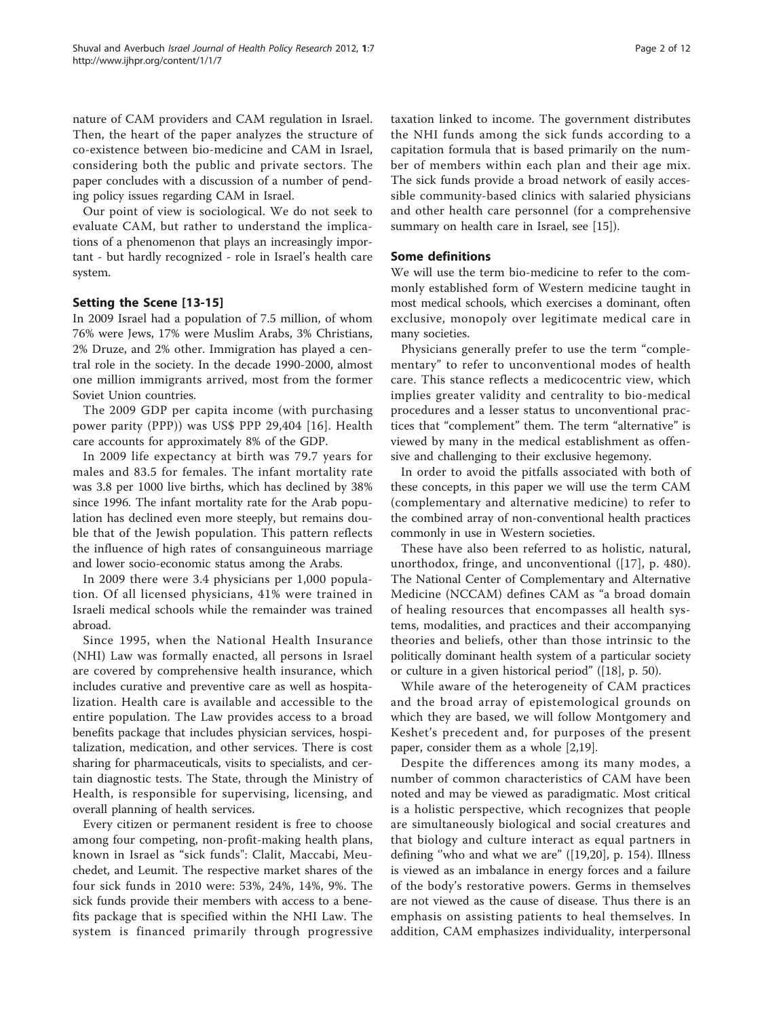nature of CAM providers and CAM regulation in Israel. Then, the heart of the paper analyzes the structure of co-existence between bio-medicine and CAM in Israel, considering both the public and private sectors. The paper concludes with a discussion of a number of pending policy issues regarding CAM in Israel.

Our point of view is sociological. We do not seek to evaluate CAM, but rather to understand the implications of a phenomenon that plays an increasingly important - but hardly recognized - role in Israel's health care system.

### Setting the Scene [\[13-15](#page-10-0)]

In 2009 Israel had a population of 7.5 million, of whom 76% were Jews, 17% were Muslim Arabs, 3% Christians, 2% Druze, and 2% other. Immigration has played a central role in the society. In the decade 1990-2000, almost one million immigrants arrived, most from the former Soviet Union countries.

The 2009 GDP per capita income (with purchasing power parity (PPP)) was US\$ PPP 29,404 [\[16\]](#page-10-0). Health care accounts for approximately 8% of the GDP.

In 2009 life expectancy at birth was 79.7 years for males and 83.5 for females. The infant mortality rate was 3.8 per 1000 live births, which has declined by 38% since 1996. The infant mortality rate for the Arab population has declined even more steeply, but remains double that of the Jewish population. This pattern reflects the influence of high rates of consanguineous marriage and lower socio-economic status among the Arabs.

In 2009 there were 3.4 physicians per 1,000 population. Of all licensed physicians, 41% were trained in Israeli medical schools while the remainder was trained abroad.

Since 1995, when the National Health Insurance (NHI) Law was formally enacted, all persons in Israel are covered by comprehensive health insurance, which includes curative and preventive care as well as hospitalization. Health care is available and accessible to the entire population. The Law provides access to a broad benefits package that includes physician services, hospitalization, medication, and other services. There is cost sharing for pharmaceuticals, visits to specialists, and certain diagnostic tests. The State, through the Ministry of Health, is responsible for supervising, licensing, and overall planning of health services.

Every citizen or permanent resident is free to choose among four competing, non-profit-making health plans, known in Israel as "sick funds": Clalit, Maccabi, Meuchedet, and Leumit. The respective market shares of the four sick funds in 2010 were: 53%, 24%, 14%, 9%. The sick funds provide their members with access to a benefits package that is specified within the NHI Law. The system is financed primarily through progressive

taxation linked to income. The government distributes the NHI funds among the sick funds according to a capitation formula that is based primarily on the number of members within each plan and their age mix. The sick funds provide a broad network of easily accessible community-based clinics with salaried physicians and other health care personnel (for a comprehensive summary on health care in Israel, see [\[15\]](#page-10-0)).

#### Some definitions

We will use the term bio-medicine to refer to the commonly established form of Western medicine taught in most medical schools, which exercises a dominant, often exclusive, monopoly over legitimate medical care in many societies.

Physicians generally prefer to use the term "complementary" to refer to unconventional modes of health care. This stance reflects a medicocentric view, which implies greater validity and centrality to bio-medical procedures and a lesser status to unconventional practices that "complement" them. The term "alternative" is viewed by many in the medical establishment as offensive and challenging to their exclusive hegemony.

In order to avoid the pitfalls associated with both of these concepts, in this paper we will use the term CAM (complementary and alternative medicine) to refer to the combined array of non-conventional health practices commonly in use in Western societies.

These have also been referred to as holistic, natural, unorthodox, fringe, and unconventional ([[17](#page-10-0)], p. 480). The National Center of Complementary and Alternative Medicine (NCCAM) defines CAM as "a broad domain of healing resources that encompasses all health systems, modalities, and practices and their accompanying theories and beliefs, other than those intrinsic to the politically dominant health system of a particular society or culture in a given historical period" ([[18\]](#page-10-0), p. 50).

While aware of the heterogeneity of CAM practices and the broad array of epistemological grounds on which they are based, we will follow Montgomery and Keshet's precedent and, for purposes of the present paper, consider them as a whole [\[2,19](#page-10-0)].

Despite the differences among its many modes, a number of common characteristics of CAM have been noted and may be viewed as paradigmatic. Most critical is a holistic perspective, which recognizes that people are simultaneously biological and social creatures and that biology and culture interact as equal partners in defining ''who and what we are" ([[19,20\]](#page-10-0), p. 154). Illness is viewed as an imbalance in energy forces and a failure of the body's restorative powers. Germs in themselves are not viewed as the cause of disease. Thus there is an emphasis on assisting patients to heal themselves. In addition, CAM emphasizes individuality, interpersonal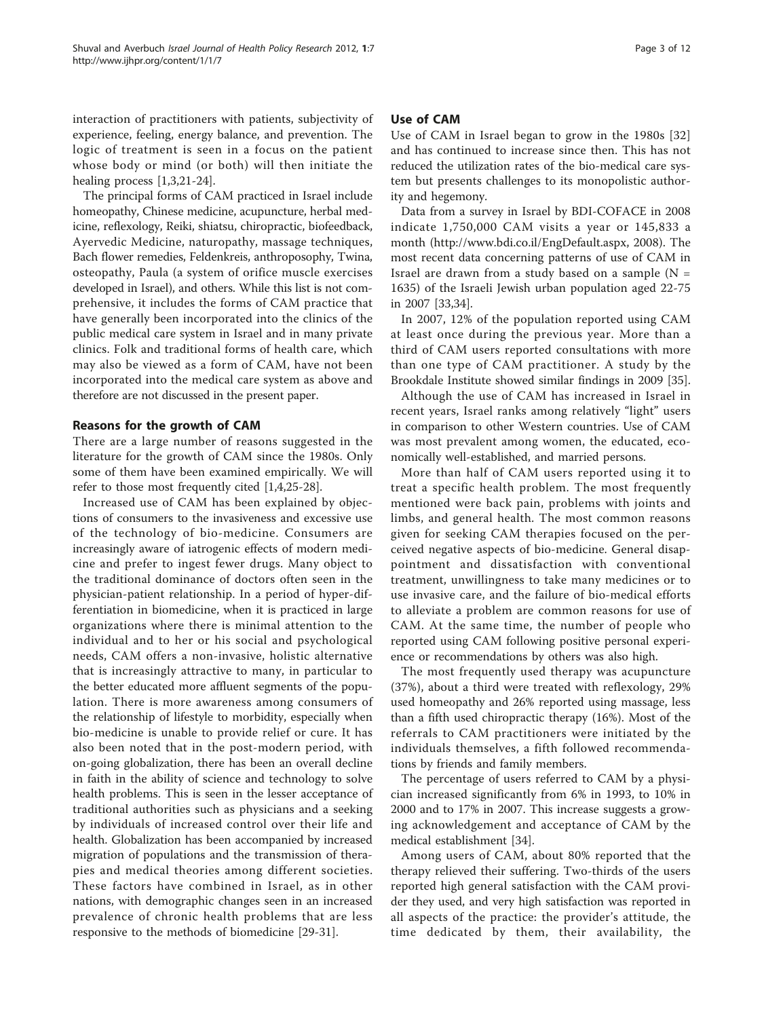interaction of practitioners with patients, subjectivity of experience, feeling, energy balance, and prevention. The logic of treatment is seen in a focus on the patient whose body or mind (or both) will then initiate the healing process [[1,3,21-24\]](#page-10-0).

The principal forms of CAM practiced in Israel include homeopathy, Chinese medicine, acupuncture, herbal medicine, reflexology, Reiki, shiatsu, chiropractic, biofeedback, Ayervedic Medicine, naturopathy, massage techniques, Bach flower remedies, Feldenkreis, anthroposophy, Twina, osteopathy, Paula (a system of orifice muscle exercises developed in Israel), and others. While this list is not comprehensive, it includes the forms of CAM practice that have generally been incorporated into the clinics of the public medical care system in Israel and in many private clinics. Folk and traditional forms of health care, which may also be viewed as a form of CAM, have not been incorporated into the medical care system as above and therefore are not discussed in the present paper.

### Reasons for the growth of CAM

There are a large number of reasons suggested in the literature for the growth of CAM since the 1980s. Only some of them have been examined empirically. We will refer to those most frequently cited [\[1,4,25-28](#page-10-0)].

Increased use of CAM has been explained by objections of consumers to the invasiveness and excessive use of the technology of bio-medicine. Consumers are increasingly aware of iatrogenic effects of modern medicine and prefer to ingest fewer drugs. Many object to the traditional dominance of doctors often seen in the physician-patient relationship. In a period of hyper-differentiation in biomedicine, when it is practiced in large organizations where there is minimal attention to the individual and to her or his social and psychological needs, CAM offers a non-invasive, holistic alternative that is increasingly attractive to many, in particular to the better educated more affluent segments of the population. There is more awareness among consumers of the relationship of lifestyle to morbidity, especially when bio-medicine is unable to provide relief or cure. It has also been noted that in the post-modern period, with on-going globalization, there has been an overall decline in faith in the ability of science and technology to solve health problems. This is seen in the lesser acceptance of traditional authorities such as physicians and a seeking by individuals of increased control over their life and health. Globalization has been accompanied by increased migration of populations and the transmission of therapies and medical theories among different societies. These factors have combined in Israel, as in other nations, with demographic changes seen in an increased prevalence of chronic health problems that are less responsive to the methods of biomedicine [[29](#page-10-0)-[31\]](#page-10-0).

### Use of CAM

Use of CAM in Israel began to grow in the 1980s [\[32](#page-10-0)] and has continued to increase since then. This has not reduced the utilization rates of the bio-medical care system but presents challenges to its monopolistic authority and hegemony.

Data from a survey in Israel by BDI-COFACE in 2008 indicate 1,750,000 CAM visits a year or 145,833 a month [\(http://www.bdi.co.il/EngDefault.aspx,](http://www.bdi.co.il/EngDefault.aspx) 2008). The most recent data concerning patterns of use of CAM in Israel are drawn from a study based on a sample  $(N =$ 1635) of the Israeli Jewish urban population aged 22-75 in 2007 [[33,](#page-10-0)[34\]](#page-11-0).

In 2007, 12% of the population reported using CAM at least once during the previous year. More than a third of CAM users reported consultations with more than one type of CAM practitioner. A study by the Brookdale Institute showed similar findings in 2009 [[35](#page-11-0)].

Although the use of CAM has increased in Israel in recent years, Israel ranks among relatively "light" users in comparison to other Western countries. Use of CAM was most prevalent among women, the educated, economically well-established, and married persons.

More than half of CAM users reported using it to treat a specific health problem. The most frequently mentioned were back pain, problems with joints and limbs, and general health. The most common reasons given for seeking CAM therapies focused on the perceived negative aspects of bio-medicine. General disappointment and dissatisfaction with conventional treatment, unwillingness to take many medicines or to use invasive care, and the failure of bio-medical efforts to alleviate a problem are common reasons for use of CAM. At the same time, the number of people who reported using CAM following positive personal experience or recommendations by others was also high.

The most frequently used therapy was acupuncture (37%), about a third were treated with reflexology, 29% used homeopathy and 26% reported using massage, less than a fifth used chiropractic therapy (16%). Most of the referrals to CAM practitioners were initiated by the individuals themselves, a fifth followed recommendations by friends and family members.

The percentage of users referred to CAM by a physician increased significantly from 6% in 1993, to 10% in 2000 and to 17% in 2007. This increase suggests a growing acknowledgement and acceptance of CAM by the medical establishment [[34\]](#page-11-0).

Among users of CAM, about 80% reported that the therapy relieved their suffering. Two-thirds of the users reported high general satisfaction with the CAM provider they used, and very high satisfaction was reported in all aspects of the practice: the provider's attitude, the time dedicated by them, their availability, the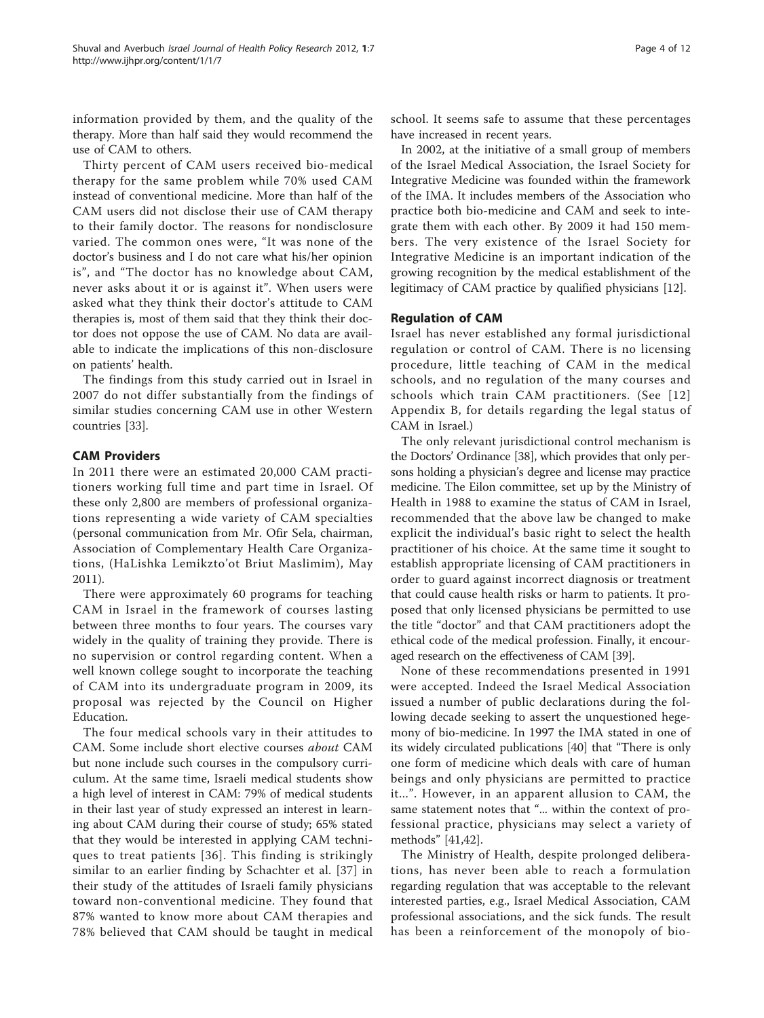information provided by them, and the quality of the therapy. More than half said they would recommend the use of CAM to others.

Thirty percent of CAM users received bio-medical therapy for the same problem while 70% used CAM instead of conventional medicine. More than half of the CAM users did not disclose their use of CAM therapy to their family doctor. The reasons for nondisclosure varied. The common ones were, "It was none of the doctor's business and I do not care what his/her opinion is", and "The doctor has no knowledge about CAM, never asks about it or is against it". When users were asked what they think their doctor's attitude to CAM therapies is, most of them said that they think their doctor does not oppose the use of CAM. No data are available to indicate the implications of this non-disclosure on patients' health.

The findings from this study carried out in Israel in 2007 do not differ substantially from the findings of similar studies concerning CAM use in other Western countries [[33](#page-10-0)].

# CAM Providers

In 2011 there were an estimated 20,000 CAM practitioners working full time and part time in Israel. Of these only 2,800 are members of professional organizations representing a wide variety of CAM specialties (personal communication from Mr. Ofir Sela, chairman, Association of Complementary Health Care Organizations, (HaLishka Lemikzto'ot Briut Maslimim), May 2011).

There were approximately 60 programs for teaching CAM in Israel in the framework of courses lasting between three months to four years. The courses vary widely in the quality of training they provide. There is no supervision or control regarding content. When a well known college sought to incorporate the teaching of CAM into its undergraduate program in 2009, its proposal was rejected by the Council on Higher Education.

The four medical schools vary in their attitudes to CAM. Some include short elective courses about CAM but none include such courses in the compulsory curriculum. At the same time, Israeli medical students show a high level of interest in CAM: 79% of medical students in their last year of study expressed an interest in learning about CAM during their course of study; 65% stated that they would be interested in applying CAM techniques to treat patients [[36\]](#page-11-0). This finding is strikingly similar to an earlier finding by Schachter et al. [\[37\]](#page-11-0) in their study of the attitudes of Israeli family physicians toward non-conventional medicine. They found that 87% wanted to know more about CAM therapies and 78% believed that CAM should be taught in medical

school. It seems safe to assume that these percentages have increased in recent years.

In 2002, at the initiative of a small group of members of the Israel Medical Association, the Israel Society for Integrative Medicine was founded within the framework of the IMA. It includes members of the Association who practice both bio-medicine and CAM and seek to integrate them with each other. By 2009 it had 150 members. The very existence of the Israel Society for Integrative Medicine is an important indication of the growing recognition by the medical establishment of the legitimacy of CAM practice by qualified physicians [\[12](#page-10-0)].

# Regulation of CAM

Israel has never established any formal jurisdictional regulation or control of CAM. There is no licensing procedure, little teaching of CAM in the medical schools, and no regulation of the many courses and schools which train CAM practitioners. (See [[12](#page-10-0)] Appendix B, for details regarding the legal status of CAM in Israel.)

The only relevant jurisdictional control mechanism is the Doctors' Ordinance [\[38](#page-11-0)], which provides that only persons holding a physician's degree and license may practice medicine. The Eilon committee, set up by the Ministry of Health in 1988 to examine the status of CAM in Israel, recommended that the above law be changed to make explicit the individual's basic right to select the health practitioner of his choice. At the same time it sought to establish appropriate licensing of CAM practitioners in order to guard against incorrect diagnosis or treatment that could cause health risks or harm to patients. It proposed that only licensed physicians be permitted to use the title "doctor" and that CAM practitioners adopt the ethical code of the medical profession. Finally, it encouraged research on the effectiveness of CAM [\[39](#page-11-0)].

None of these recommendations presented in 1991 were accepted. Indeed the Israel Medical Association issued a number of public declarations during the following decade seeking to assert the unquestioned hegemony of bio-medicine. In 1997 the IMA stated in one of its widely circulated publications [\[40](#page-11-0)] that "There is only one form of medicine which deals with care of human beings and only physicians are permitted to practice it...". However, in an apparent allusion to CAM, the same statement notes that "... within the context of professional practice, physicians may select a variety of methods" [[41](#page-11-0),[42](#page-11-0)].

The Ministry of Health, despite prolonged deliberations, has never been able to reach a formulation regarding regulation that was acceptable to the relevant interested parties, e.g., Israel Medical Association, CAM professional associations, and the sick funds. The result has been a reinforcement of the monopoly of bio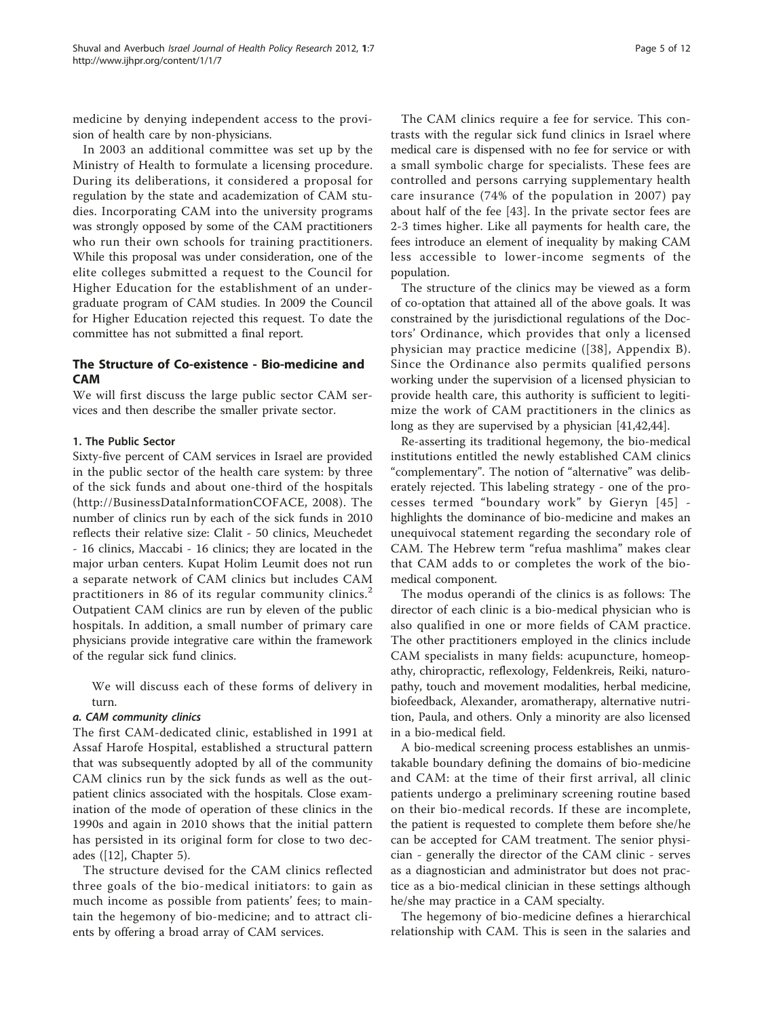medicine by denying independent access to the provision of health care by non-physicians.

In 2003 an additional committee was set up by the Ministry of Health to formulate a licensing procedure. During its deliberations, it considered a proposal for regulation by the state and academization of CAM studies. Incorporating CAM into the university programs was strongly opposed by some of the CAM practitioners who run their own schools for training practitioners. While this proposal was under consideration, one of the elite colleges submitted a request to the Council for Higher Education for the establishment of an undergraduate program of CAM studies. In 2009 the Council for Higher Education rejected this request. To date the committee has not submitted a final report.

# The Structure of Co-existence - Bio-medicine and CAM

We will first discuss the large public sector CAM services and then describe the smaller private sector.

# 1. The Public Sector

Sixty-five percent of CAM services in Israel are provided in the public sector of the health care system: by three of the sick funds and about one-third of the hospitals ([http://BusinessDataInformationCOFACE,](http://BusinessDataInformationCOFACE) 2008). The number of clinics run by each of the sick funds in 2010 reflects their relative size: Clalit - 50 clinics, Meuchedet - 16 clinics, Maccabi - 16 clinics; they are located in the major urban centers. Kupat Holim Leumit does not run a separate network of CAM clinics but includes CAM practitioners in 86 of its regular community clinics.<sup>2</sup> Outpatient CAM clinics are run by eleven of the public hospitals. In addition, a small number of primary care physicians provide integrative care within the framework of the regular sick fund clinics.

We will discuss each of these forms of delivery in turn.

#### a. CAM community clinics

The first CAM-dedicated clinic, established in 1991 at Assaf Harofe Hospital, established a structural pattern that was subsequently adopted by all of the community CAM clinics run by the sick funds as well as the outpatient clinics associated with the hospitals. Close examination of the mode of operation of these clinics in the 1990s and again in 2010 shows that the initial pattern has persisted in its original form for close to two decades ([[12\]](#page-10-0), Chapter 5).

The structure devised for the CAM clinics reflected three goals of the bio-medical initiators: to gain as much income as possible from patients' fees; to maintain the hegemony of bio-medicine; and to attract clients by offering a broad array of CAM services.

The CAM clinics require a fee for service. This contrasts with the regular sick fund clinics in Israel where medical care is dispensed with no fee for service or with a small symbolic charge for specialists. These fees are controlled and persons carrying supplementary health care insurance (74% of the population in 2007) pay about half of the fee [[43\]](#page-11-0). In the private sector fees are 2-3 times higher. Like all payments for health care, the fees introduce an element of inequality by making CAM less accessible to lower-income segments of the population.

The structure of the clinics may be viewed as a form of co-optation that attained all of the above goals. It was constrained by the jurisdictional regulations of the Doctors' Ordinance, which provides that only a licensed physician may practice medicine ([\[38\]](#page-11-0), Appendix B). Since the Ordinance also permits qualified persons working under the supervision of a licensed physician to provide health care, this authority is sufficient to legitimize the work of CAM practitioners in the clinics as long as they are supervised by a physician [[41,42,44](#page-11-0)].

Re-asserting its traditional hegemony, the bio-medical institutions entitled the newly established CAM clinics "complementary". The notion of "alternative" was deliberately rejected. This labeling strategy - one of the processes termed "boundary work" by Gieryn [[45\]](#page-11-0) highlights the dominance of bio-medicine and makes an unequivocal statement regarding the secondary role of CAM. The Hebrew term "refua mashlima" makes clear that CAM adds to or completes the work of the biomedical component.

The modus operandi of the clinics is as follows: The director of each clinic is a bio-medical physician who is also qualified in one or more fields of CAM practice. The other practitioners employed in the clinics include CAM specialists in many fields: acupuncture, homeopathy, chiropractic, reflexology, Feldenkreis, Reiki, naturopathy, touch and movement modalities, herbal medicine, biofeedback, Alexander, aromatherapy, alternative nutrition, Paula, and others. Only a minority are also licensed in a bio-medical field.

A bio-medical screening process establishes an unmistakable boundary defining the domains of bio-medicine and CAM: at the time of their first arrival, all clinic patients undergo a preliminary screening routine based on their bio-medical records. If these are incomplete, the patient is requested to complete them before she/he can be accepted for CAM treatment. The senior physician - generally the director of the CAM clinic - serves as a diagnostician and administrator but does not practice as a bio-medical clinician in these settings although he/she may practice in a CAM specialty.

The hegemony of bio-medicine defines a hierarchical relationship with CAM. This is seen in the salaries and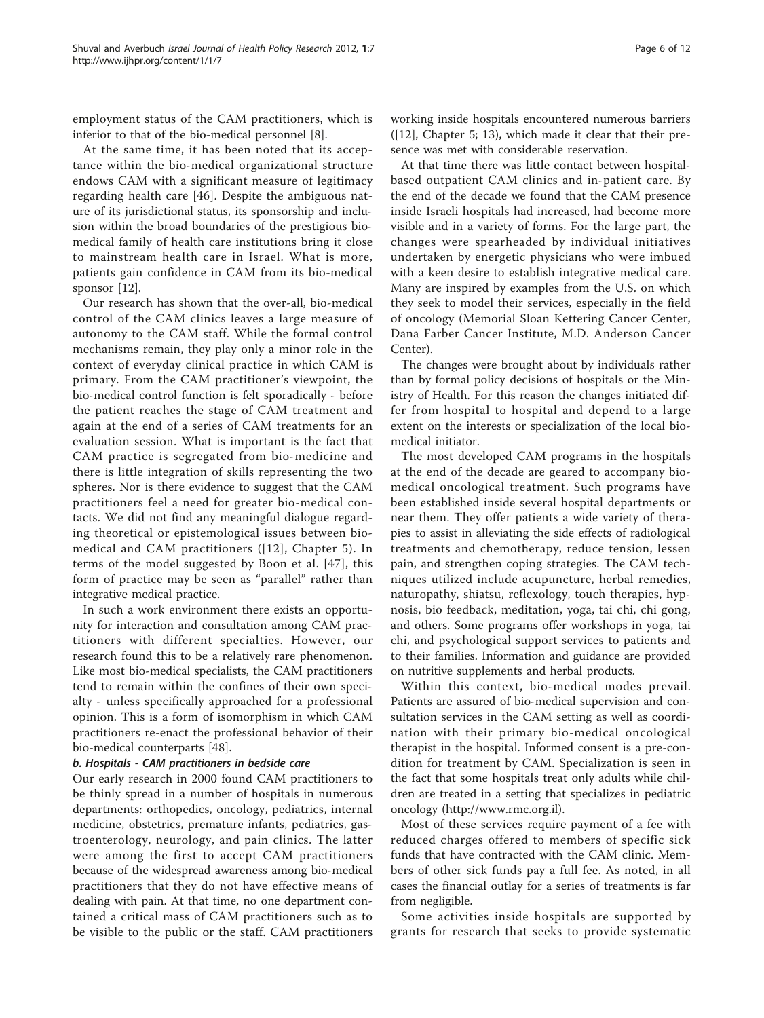employment status of the CAM practitioners, which is inferior to that of the bio-medical personnel [\[8](#page-10-0)].

At the same time, it has been noted that its acceptance within the bio-medical organizational structure endows CAM with a significant measure of legitimacy regarding health care [[46\]](#page-11-0). Despite the ambiguous nature of its jurisdictional status, its sponsorship and inclusion within the broad boundaries of the prestigious biomedical family of health care institutions bring it close to mainstream health care in Israel. What is more, patients gain confidence in CAM from its bio-medical sponsor [\[12\]](#page-10-0).

Our research has shown that the over-all, bio-medical control of the CAM clinics leaves a large measure of autonomy to the CAM staff. While the formal control mechanisms remain, they play only a minor role in the context of everyday clinical practice in which CAM is primary. From the CAM practitioner's viewpoint, the bio-medical control function is felt sporadically - before the patient reaches the stage of CAM treatment and again at the end of a series of CAM treatments for an evaluation session. What is important is the fact that CAM practice is segregated from bio-medicine and there is little integration of skills representing the two spheres. Nor is there evidence to suggest that the CAM practitioners feel a need for greater bio-medical contacts. We did not find any meaningful dialogue regarding theoretical or epistemological issues between biomedical and CAM practitioners ([[12](#page-10-0)], Chapter 5). In terms of the model suggested by Boon et al. [[47\]](#page-11-0), this form of practice may be seen as "parallel" rather than integrative medical practice.

In such a work environment there exists an opportunity for interaction and consultation among CAM practitioners with different specialties. However, our research found this to be a relatively rare phenomenon. Like most bio-medical specialists, the CAM practitioners tend to remain within the confines of their own specialty - unless specifically approached for a professional opinion. This is a form of isomorphism in which CAM practitioners re-enact the professional behavior of their bio-medical counterparts [[48](#page-11-0)].

#### b. Hospitals - CAM practitioners in bedside care

Our early research in 2000 found CAM practitioners to be thinly spread in a number of hospitals in numerous departments: orthopedics, oncology, pediatrics, internal medicine, obstetrics, premature infants, pediatrics, gastroenterology, neurology, and pain clinics. The latter were among the first to accept CAM practitioners because of the widespread awareness among bio-medical practitioners that they do not have effective means of dealing with pain. At that time, no one department contained a critical mass of CAM practitioners such as to be visible to the public or the staff. CAM practitioners working inside hospitals encountered numerous barriers ([\[12\]](#page-10-0), Chapter 5; 13), which made it clear that their presence was met with considerable reservation.

At that time there was little contact between hospitalbased outpatient CAM clinics and in-patient care. By the end of the decade we found that the CAM presence inside Israeli hospitals had increased, had become more visible and in a variety of forms. For the large part, the changes were spearheaded by individual initiatives undertaken by energetic physicians who were imbued with a keen desire to establish integrative medical care. Many are inspired by examples from the U.S. on which they seek to model their services, especially in the field of oncology (Memorial Sloan Kettering Cancer Center, Dana Farber Cancer Institute, M.D. Anderson Cancer Center).

The changes were brought about by individuals rather than by formal policy decisions of hospitals or the Ministry of Health. For this reason the changes initiated differ from hospital to hospital and depend to a large extent on the interests or specialization of the local biomedical initiator.

The most developed CAM programs in the hospitals at the end of the decade are geared to accompany biomedical oncological treatment. Such programs have been established inside several hospital departments or near them. They offer patients a wide variety of therapies to assist in alleviating the side effects of radiological treatments and chemotherapy, reduce tension, lessen pain, and strengthen coping strategies. The CAM techniques utilized include acupuncture, herbal remedies, naturopathy, shiatsu, reflexology, touch therapies, hypnosis, bio feedback, meditation, yoga, tai chi, chi gong, and others. Some programs offer workshops in yoga, tai chi, and psychological support services to patients and to their families. Information and guidance are provided on nutritive supplements and herbal products.

Within this context, bio-medical modes prevail. Patients are assured of bio-medical supervision and consultation services in the CAM setting as well as coordination with their primary bio-medical oncological therapist in the hospital. Informed consent is a pre-condition for treatment by CAM. Specialization is seen in the fact that some hospitals treat only adults while children are treated in a setting that specializes in pediatric oncology (<http://www.rmc.org.il>).

Most of these services require payment of a fee with reduced charges offered to members of specific sick funds that have contracted with the CAM clinic. Members of other sick funds pay a full fee. As noted, in all cases the financial outlay for a series of treatments is far from negligible.

Some activities inside hospitals are supported by grants for research that seeks to provide systematic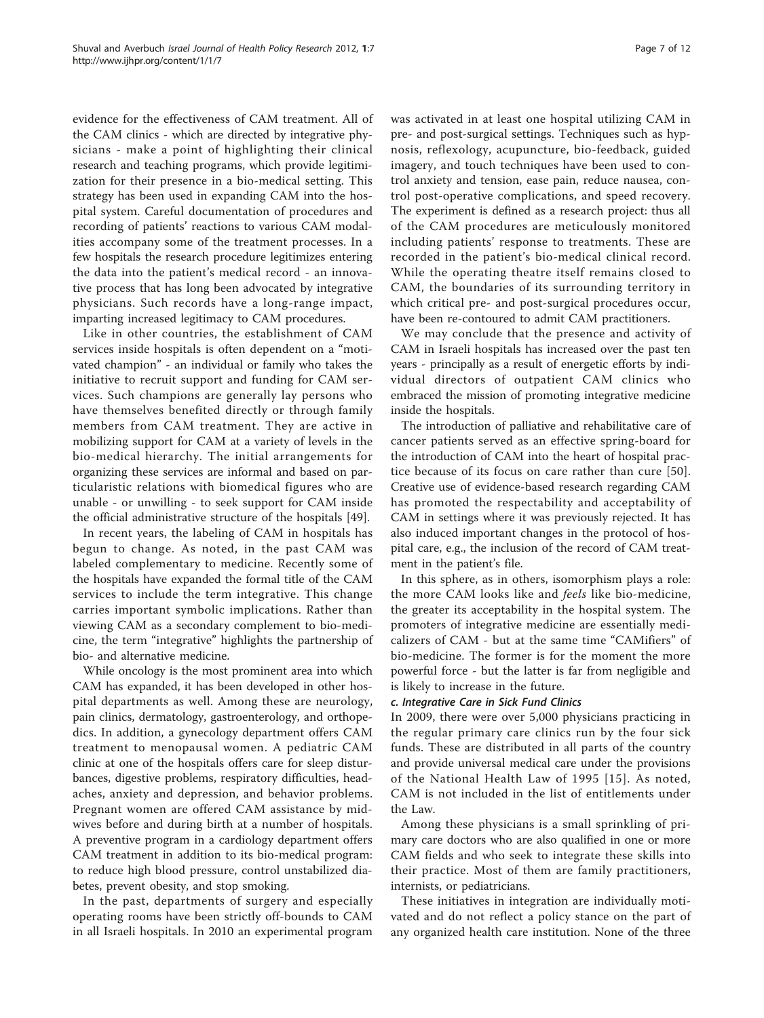Page 7 of 12

evidence for the effectiveness of CAM treatment. All of the CAM clinics - which are directed by integrative physicians - make a point of highlighting their clinical research and teaching programs, which provide legitimization for their presence in a bio-medical setting. This strategy has been used in expanding CAM into the hospital system. Careful documentation of procedures and recording of patients' reactions to various CAM modalities accompany some of the treatment processes. In a few hospitals the research procedure legitimizes entering the data into the patient's medical record - an innovative process that has long been advocated by integrative physicians. Such records have a long-range impact, imparting increased legitimacy to CAM procedures.

Like in other countries, the establishment of CAM services inside hospitals is often dependent on a "motivated champion" - an individual or family who takes the initiative to recruit support and funding for CAM services. Such champions are generally lay persons who have themselves benefited directly or through family members from CAM treatment. They are active in mobilizing support for CAM at a variety of levels in the bio-medical hierarchy. The initial arrangements for organizing these services are informal and based on particularistic relations with biomedical figures who are unable - or unwilling - to seek support for CAM inside the official administrative structure of the hospitals [\[49](#page-11-0)].

In recent years, the labeling of CAM in hospitals has begun to change. As noted, in the past CAM was labeled complementary to medicine. Recently some of the hospitals have expanded the formal title of the CAM services to include the term integrative. This change carries important symbolic implications. Rather than viewing CAM as a secondary complement to bio-medicine, the term "integrative" highlights the partnership of bio- and alternative medicine.

While oncology is the most prominent area into which CAM has expanded, it has been developed in other hospital departments as well. Among these are neurology, pain clinics, dermatology, gastroenterology, and orthopedics. In addition, a gynecology department offers CAM treatment to menopausal women. A pediatric CAM clinic at one of the hospitals offers care for sleep disturbances, digestive problems, respiratory difficulties, headaches, anxiety and depression, and behavior problems. Pregnant women are offered CAM assistance by midwives before and during birth at a number of hospitals. A preventive program in a cardiology department offers CAM treatment in addition to its bio-medical program: to reduce high blood pressure, control unstabilized diabetes, prevent obesity, and stop smoking.

In the past, departments of surgery and especially operating rooms have been strictly off-bounds to CAM in all Israeli hospitals. In 2010 an experimental program was activated in at least one hospital utilizing CAM in pre- and post-surgical settings. Techniques such as hypnosis, reflexology, acupuncture, bio-feedback, guided imagery, and touch techniques have been used to control anxiety and tension, ease pain, reduce nausea, control post-operative complications, and speed recovery. The experiment is defined as a research project: thus all of the CAM procedures are meticulously monitored including patients' response to treatments. These are recorded in the patient's bio-medical clinical record. While the operating theatre itself remains closed to CAM, the boundaries of its surrounding territory in which critical pre- and post-surgical procedures occur, have been re-contoured to admit CAM practitioners.

We may conclude that the presence and activity of CAM in Israeli hospitals has increased over the past ten years - principally as a result of energetic efforts by individual directors of outpatient CAM clinics who embraced the mission of promoting integrative medicine inside the hospitals.

The introduction of palliative and rehabilitative care of cancer patients served as an effective spring-board for the introduction of CAM into the heart of hospital practice because of its focus on care rather than cure [[50](#page-11-0)]. Creative use of evidence-based research regarding CAM has promoted the respectability and acceptability of CAM in settings where it was previously rejected. It has also induced important changes in the protocol of hospital care, e.g., the inclusion of the record of CAM treatment in the patient's file.

In this sphere, as in others, isomorphism plays a role: the more CAM looks like and feels like bio-medicine, the greater its acceptability in the hospital system. The promoters of integrative medicine are essentially medicalizers of CAM - but at the same time "CAMifiers" of bio-medicine. The former is for the moment the more powerful force - but the latter is far from negligible and is likely to increase in the future.

#### c. Integrative Care in Sick Fund Clinics

In 2009, there were over 5,000 physicians practicing in the regular primary care clinics run by the four sick funds. These are distributed in all parts of the country and provide universal medical care under the provisions of the National Health Law of 1995 [[15\]](#page-10-0). As noted, CAM is not included in the list of entitlements under the Law.

Among these physicians is a small sprinkling of primary care doctors who are also qualified in one or more CAM fields and who seek to integrate these skills into their practice. Most of them are family practitioners, internists, or pediatricians.

These initiatives in integration are individually motivated and do not reflect a policy stance on the part of any organized health care institution. None of the three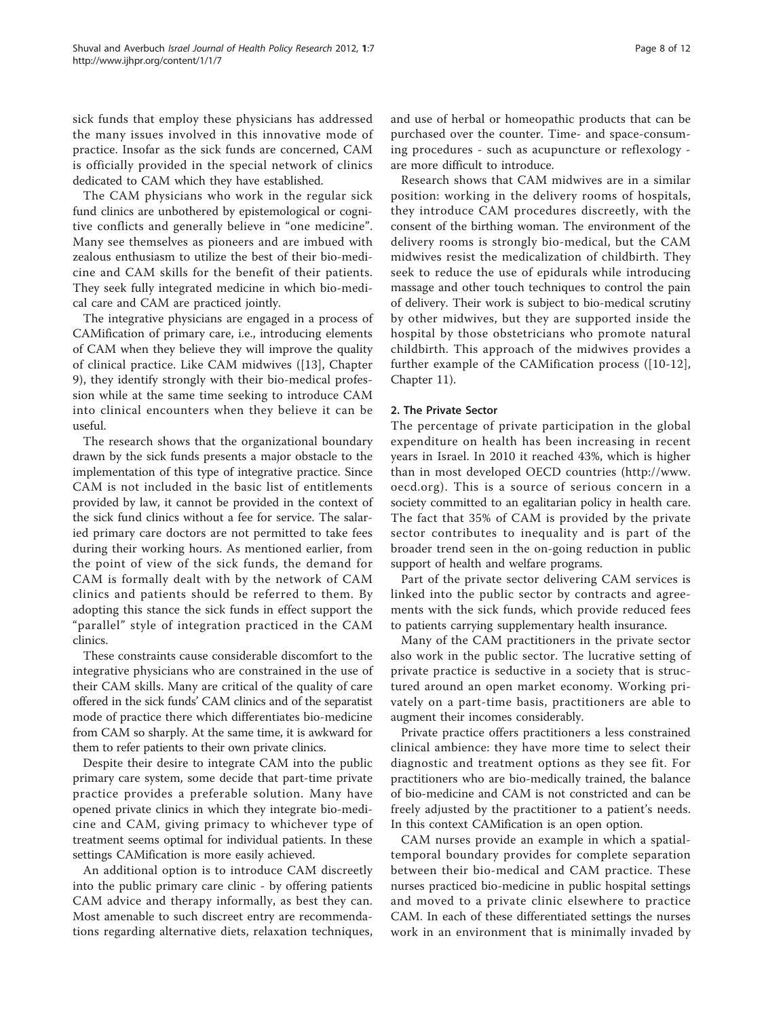sick funds that employ these physicians has addressed the many issues involved in this innovative mode of practice. Insofar as the sick funds are concerned, CAM is officially provided in the special network of clinics dedicated to CAM which they have established.

The CAM physicians who work in the regular sick fund clinics are unbothered by epistemological or cognitive conflicts and generally believe in "one medicine". Many see themselves as pioneers and are imbued with zealous enthusiasm to utilize the best of their bio-medicine and CAM skills for the benefit of their patients. They seek fully integrated medicine in which bio-medical care and CAM are practiced jointly.

The integrative physicians are engaged in a process of CAMification of primary care, i.e., introducing elements of CAM when they believe they will improve the quality of clinical practice. Like CAM midwives ([[13\]](#page-10-0), Chapter 9), they identify strongly with their bio-medical profession while at the same time seeking to introduce CAM into clinical encounters when they believe it can be useful.

The research shows that the organizational boundary drawn by the sick funds presents a major obstacle to the implementation of this type of integrative practice. Since CAM is not included in the basic list of entitlements provided by law, it cannot be provided in the context of the sick fund clinics without a fee for service. The salaried primary care doctors are not permitted to take fees during their working hours. As mentioned earlier, from the point of view of the sick funds, the demand for CAM is formally dealt with by the network of CAM clinics and patients should be referred to them. By adopting this stance the sick funds in effect support the "parallel" style of integration practiced in the CAM clinics.

These constraints cause considerable discomfort to the integrative physicians who are constrained in the use of their CAM skills. Many are critical of the quality of care offered in the sick funds' CAM clinics and of the separatist mode of practice there which differentiates bio-medicine from CAM so sharply. At the same time, it is awkward for them to refer patients to their own private clinics.

Despite their desire to integrate CAM into the public primary care system, some decide that part-time private practice provides a preferable solution. Many have opened private clinics in which they integrate bio-medicine and CAM, giving primacy to whichever type of treatment seems optimal for individual patients. In these settings CAMification is more easily achieved.

An additional option is to introduce CAM discreetly into the public primary care clinic - by offering patients CAM advice and therapy informally, as best they can. Most amenable to such discreet entry are recommendations regarding alternative diets, relaxation techniques, and use of herbal or homeopathic products that can be purchased over the counter. Time- and space-consuming procedures - such as acupuncture or reflexology are more difficult to introduce.

Research shows that CAM midwives are in a similar position: working in the delivery rooms of hospitals, they introduce CAM procedures discreetly, with the consent of the birthing woman. The environment of the delivery rooms is strongly bio-medical, but the CAM midwives resist the medicalization of childbirth. They seek to reduce the use of epidurals while introducing massage and other touch techniques to control the pain of delivery. Their work is subject to bio-medical scrutiny by other midwives, but they are supported inside the hospital by those obstetricians who promote natural childbirth. This approach of the midwives provides a further example of the CAMification process ([[10](#page-10-0)-[12](#page-10-0)], Chapter 11).

### 2. The Private Sector

The percentage of private participation in the global expenditure on health has been increasing in recent years in Israel. In 2010 it reached 43%, which is higher than in most developed OECD countries ([http://www.](http://www.oecd.org) [oecd.org](http://www.oecd.org)). This is a source of serious concern in a society committed to an egalitarian policy in health care. The fact that 35% of CAM is provided by the private sector contributes to inequality and is part of the broader trend seen in the on-going reduction in public support of health and welfare programs.

Part of the private sector delivering CAM services is linked into the public sector by contracts and agreements with the sick funds, which provide reduced fees to patients carrying supplementary health insurance.

Many of the CAM practitioners in the private sector also work in the public sector. The lucrative setting of private practice is seductive in a society that is structured around an open market economy. Working privately on a part-time basis, practitioners are able to augment their incomes considerably.

Private practice offers practitioners a less constrained clinical ambience: they have more time to select their diagnostic and treatment options as they see fit. For practitioners who are bio-medically trained, the balance of bio-medicine and CAM is not constricted and can be freely adjusted by the practitioner to a patient's needs. In this context CAMification is an open option.

CAM nurses provide an example in which a spatialtemporal boundary provides for complete separation between their bio-medical and CAM practice. These nurses practiced bio-medicine in public hospital settings and moved to a private clinic elsewhere to practice CAM. In each of these differentiated settings the nurses work in an environment that is minimally invaded by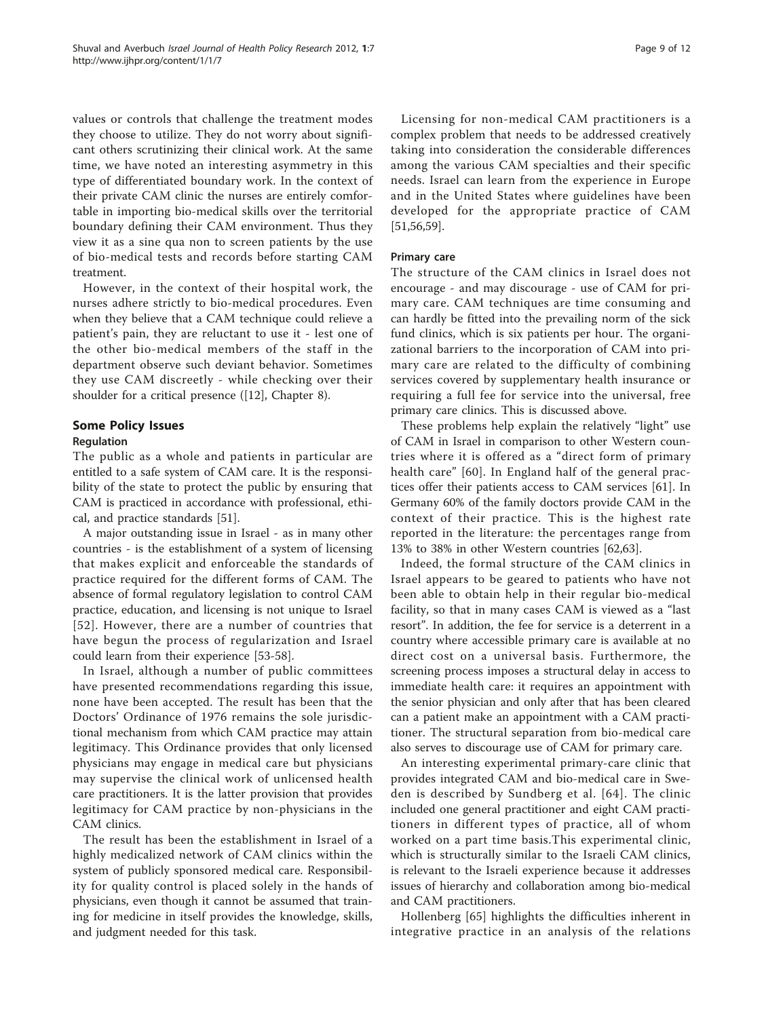values or controls that challenge the treatment modes they choose to utilize. They do not worry about significant others scrutinizing their clinical work. At the same time, we have noted an interesting asymmetry in this type of differentiated boundary work. In the context of their private CAM clinic the nurses are entirely comfortable in importing bio-medical skills over the territorial boundary defining their CAM environment. Thus they view it as a sine qua non to screen patients by the use of bio-medical tests and records before starting CAM treatment.

However, in the context of their hospital work, the nurses adhere strictly to bio-medical procedures. Even when they believe that a CAM technique could relieve a patient's pain, they are reluctant to use it - lest one of the other bio-medical members of the staff in the department observe such deviant behavior. Sometimes they use CAM discreetly - while checking over their shoulder for a critical presence ([\[12](#page-10-0)], Chapter 8).

# Some Policy Issues

#### Regulation

The public as a whole and patients in particular are entitled to a safe system of CAM care. It is the responsibility of the state to protect the public by ensuring that CAM is practiced in accordance with professional, ethical, and practice standards [\[51\]](#page-11-0).

A major outstanding issue in Israel - as in many other countries - is the establishment of a system of licensing that makes explicit and enforceable the standards of practice required for the different forms of CAM. The absence of formal regulatory legislation to control CAM practice, education, and licensing is not unique to Israel [[52\]](#page-11-0). However, there are a number of countries that have begun the process of regularization and Israel could learn from their experience [\[53-58](#page-11-0)].

In Israel, although a number of public committees have presented recommendations regarding this issue, none have been accepted. The result has been that the Doctors' Ordinance of 1976 remains the sole jurisdictional mechanism from which CAM practice may attain legitimacy. This Ordinance provides that only licensed physicians may engage in medical care but physicians may supervise the clinical work of unlicensed health care practitioners. It is the latter provision that provides legitimacy for CAM practice by non-physicians in the CAM clinics.

The result has been the establishment in Israel of a highly medicalized network of CAM clinics within the system of publicly sponsored medical care. Responsibility for quality control is placed solely in the hands of physicians, even though it cannot be assumed that training for medicine in itself provides the knowledge, skills, and judgment needed for this task.

Licensing for non-medical CAM practitioners is a complex problem that needs to be addressed creatively taking into consideration the considerable differences among the various CAM specialties and their specific needs. Israel can learn from the experience in Europe and in the United States where guidelines have been developed for the appropriate practice of CAM [[51,56,59](#page-11-0)].

#### Primary care

The structure of the CAM clinics in Israel does not encourage - and may discourage - use of CAM for primary care. CAM techniques are time consuming and can hardly be fitted into the prevailing norm of the sick fund clinics, which is six patients per hour. The organizational barriers to the incorporation of CAM into primary care are related to the difficulty of combining services covered by supplementary health insurance or requiring a full fee for service into the universal, free primary care clinics. This is discussed above.

These problems help explain the relatively "light" use of CAM in Israel in comparison to other Western countries where it is offered as a "direct form of primary health care" [[60](#page-11-0)]. In England half of the general practices offer their patients access to CAM services [\[61](#page-11-0)]. In Germany 60% of the family doctors provide CAM in the context of their practice. This is the highest rate reported in the literature: the percentages range from 13% to 38% in other Western countries [[62](#page-11-0),[63](#page-11-0)].

Indeed, the formal structure of the CAM clinics in Israel appears to be geared to patients who have not been able to obtain help in their regular bio-medical facility, so that in many cases CAM is viewed as a "last resort". In addition, the fee for service is a deterrent in a country where accessible primary care is available at no direct cost on a universal basis. Furthermore, the screening process imposes a structural delay in access to immediate health care: it requires an appointment with the senior physician and only after that has been cleared can a patient make an appointment with a CAM practitioner. The structural separation from bio-medical care also serves to discourage use of CAM for primary care.

An interesting experimental primary-care clinic that provides integrated CAM and bio-medical care in Sweden is described by Sundberg et al. [[64](#page-11-0)]. The clinic included one general practitioner and eight CAM practitioners in different types of practice, all of whom worked on a part time basis.This experimental clinic, which is structurally similar to the Israeli CAM clinics, is relevant to the Israeli experience because it addresses issues of hierarchy and collaboration among bio-medical and CAM practitioners.

Hollenberg [\[65](#page-11-0)] highlights the difficulties inherent in integrative practice in an analysis of the relations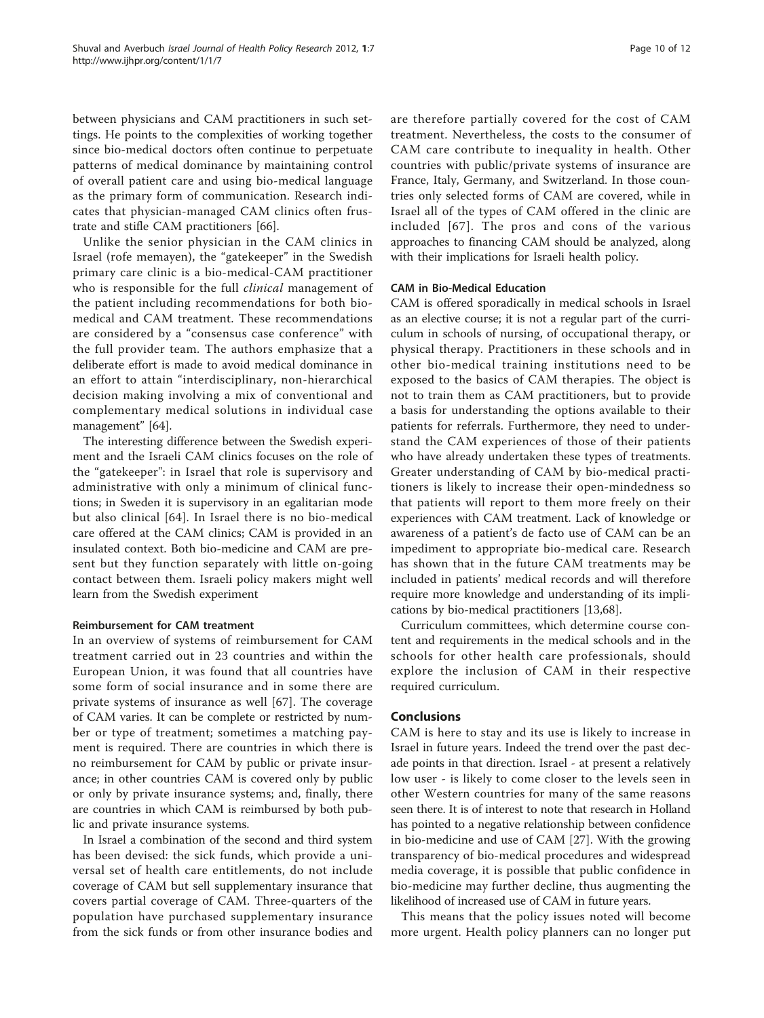between physicians and CAM practitioners in such settings. He points to the complexities of working together since bio-medical doctors often continue to perpetuate patterns of medical dominance by maintaining control of overall patient care and using bio-medical language as the primary form of communication. Research indicates that physician-managed CAM clinics often frustrate and stifle CAM practitioners [[66\]](#page-11-0).

Unlike the senior physician in the CAM clinics in Israel (rofe memayen), the "gatekeeper" in the Swedish primary care clinic is a bio-medical-CAM practitioner who is responsible for the full *clinical* management of the patient including recommendations for both biomedical and CAM treatment. These recommendations are considered by a "consensus case conference" with the full provider team. The authors emphasize that a deliberate effort is made to avoid medical dominance in an effort to attain "interdisciplinary, non-hierarchical decision making involving a mix of conventional and complementary medical solutions in individual case management" [\[64\]](#page-11-0).

The interesting difference between the Swedish experiment and the Israeli CAM clinics focuses on the role of the "gatekeeper": in Israel that role is supervisory and administrative with only a minimum of clinical functions; in Sweden it is supervisory in an egalitarian mode but also clinical [[64\]](#page-11-0). In Israel there is no bio-medical care offered at the CAM clinics; CAM is provided in an insulated context. Both bio-medicine and CAM are present but they function separately with little on-going contact between them. Israeli policy makers might well learn from the Swedish experiment

#### Reimbursement for CAM treatment

In an overview of systems of reimbursement for CAM treatment carried out in 23 countries and within the European Union, it was found that all countries have some form of social insurance and in some there are private systems of insurance as well [\[67](#page-11-0)]. The coverage of CAM varies. It can be complete or restricted by number or type of treatment; sometimes a matching payment is required. There are countries in which there is no reimbursement for CAM by public or private insurance; in other countries CAM is covered only by public or only by private insurance systems; and, finally, there are countries in which CAM is reimbursed by both public and private insurance systems.

In Israel a combination of the second and third system has been devised: the sick funds, which provide a universal set of health care entitlements, do not include coverage of CAM but sell supplementary insurance that covers partial coverage of CAM. Three-quarters of the population have purchased supplementary insurance from the sick funds or from other insurance bodies and are therefore partially covered for the cost of CAM treatment. Nevertheless, the costs to the consumer of CAM care contribute to inequality in health. Other countries with public/private systems of insurance are France, Italy, Germany, and Switzerland. In those countries only selected forms of CAM are covered, while in Israel all of the types of CAM offered in the clinic are included [[67\]](#page-11-0). The pros and cons of the various approaches to financing CAM should be analyzed, along with their implications for Israeli health policy.

### CAM in Bio-Medical Education

CAM is offered sporadically in medical schools in Israel as an elective course; it is not a regular part of the curriculum in schools of nursing, of occupational therapy, or physical therapy. Practitioners in these schools and in other bio-medical training institutions need to be exposed to the basics of CAM therapies. The object is not to train them as CAM practitioners, but to provide a basis for understanding the options available to their patients for referrals. Furthermore, they need to understand the CAM experiences of those of their patients who have already undertaken these types of treatments. Greater understanding of CAM by bio-medical practitioners is likely to increase their open-mindedness so that patients will report to them more freely on their experiences with CAM treatment. Lack of knowledge or awareness of a patient's de facto use of CAM can be an impediment to appropriate bio-medical care. Research has shown that in the future CAM treatments may be included in patients' medical records and will therefore require more knowledge and understanding of its implications by bio-medical practitioners [\[13,](#page-10-0)[68\]](#page-11-0).

Curriculum committees, which determine course content and requirements in the medical schools and in the schools for other health care professionals, should explore the inclusion of CAM in their respective required curriculum.

#### Conclusions

CAM is here to stay and its use is likely to increase in Israel in future years. Indeed the trend over the past decade points in that direction. Israel - at present a relatively low user - is likely to come closer to the levels seen in other Western countries for many of the same reasons seen there. It is of interest to note that research in Holland has pointed to a negative relationship between confidence in bio-medicine and use of CAM [\[27\]](#page-10-0). With the growing transparency of bio-medical procedures and widespread media coverage, it is possible that public confidence in bio-medicine may further decline, thus augmenting the likelihood of increased use of CAM in future years.

This means that the policy issues noted will become more urgent. Health policy planners can no longer put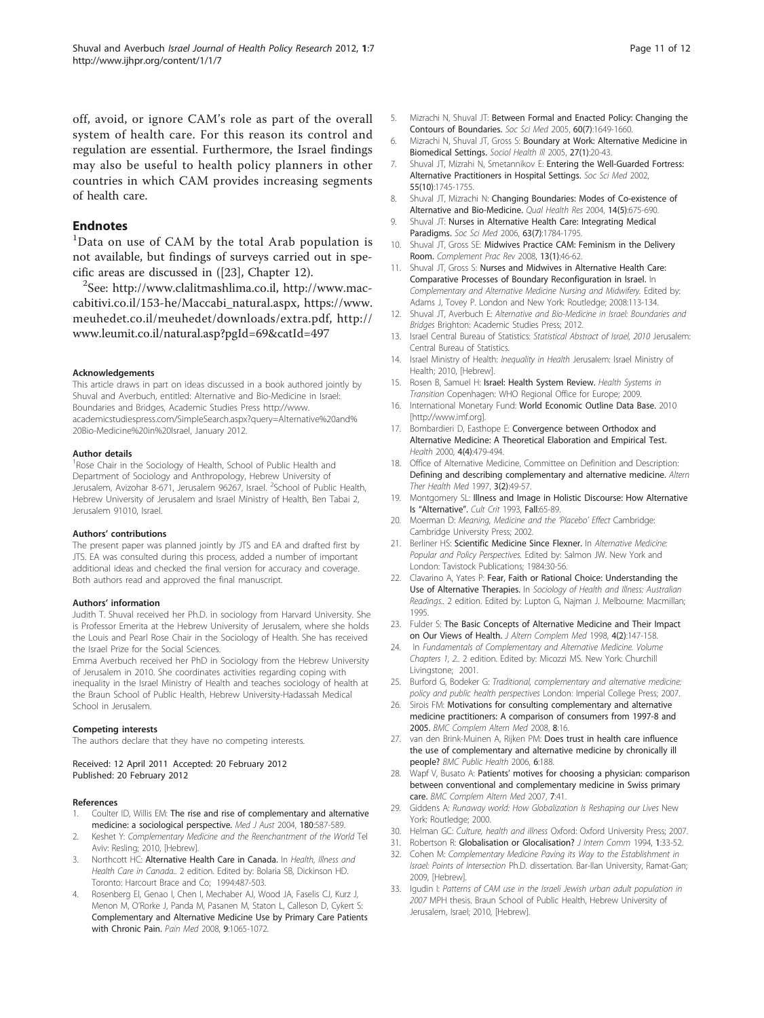#### <span id="page-10-0"></span>Endnotes

<sup>1</sup>Data on use of CAM by the total Arab population is not available, but findings of surveys carried out in specific areas are discussed in ([23], Chapter 12). <sup>2</sup>

<sup>2</sup>See:<http://www.clalitmashlima.co.il>, [http://www.mac](http://www.maccabitivi.co.il/153-he/Maccabi_natural.aspx)[cabitivi.co.il/153-he/Maccabi\\_natural.aspx](http://www.maccabitivi.co.il/153-he/Maccabi_natural.aspx), [https://www.](https://www.meuhedet.co.il/meuhedet/downloads/extra.pdf) [meuhedet.co.il/meuhedet/downloads/extra.pdf,](https://www.meuhedet.co.il/meuhedet/downloads/extra.pdf) [http://](http://www.leumit.co.il/natural.asp?pgId=69&catId=497) [www.leumit.co.il/natural.asp?pgId=69&catId=497](http://www.leumit.co.il/natural.asp?pgId=69&catId=497)

#### Acknowledgements

This article draws in part on ideas discussed in a book authored jointly by Shuval and Averbuch, entitled: Alternative and Bio-Medicine in Israel: Boundaries and Bridges, Academic Studies Press [http://www.](http://www.academicstudiespress.com/SimpleSearch.aspx?query=Alternative%20and%20Bio-Medicine%20in%20Israel) [academicstudiespress.com/SimpleSearch.aspx?query=Alternative%20and%](http://www.academicstudiespress.com/SimpleSearch.aspx?query=Alternative%20and%20Bio-Medicine%20in%20Israel) [20Bio-Medicine%20in%20Israel](http://www.academicstudiespress.com/SimpleSearch.aspx?query=Alternative%20and%20Bio-Medicine%20in%20Israel), January 2012.

#### Author details

<sup>1</sup>Rose Chair in the Sociology of Health, School of Public Health and Department of Sociology and Anthropology, Hebrew University of Jerusalem, Avizohar 8-671, Jerusalem 96267, Israel. <sup>2</sup>School of Public Health, Hebrew University of Jerusalem and Israel Ministry of Health, Ben Tabai 2, Jerusalem 91010, Israel.

#### Authors' contributions

The present paper was planned jointly by JTS and EA and drafted first by JTS. EA was consulted during this process, added a number of important additional ideas and checked the final version for accuracy and coverage. Both authors read and approved the final manuscript.

#### Authors' information

Judith T. Shuval received her Ph.D. in sociology from Harvard University. She is Professor Emerita at the Hebrew University of Jerusalem, where she holds the Louis and Pearl Rose Chair in the Sociology of Health. She has received the Israel Prize for the Social Sciences.

Emma Averbuch received her PhD in Sociology from the Hebrew University of Jerusalem in 2010. She coordinates activities regarding coping with inequality in the Israel Ministry of Health and teaches sociology of health at the Braun School of Public Health, Hebrew University-Hadassah Medical School in Jerusalem.

#### Competing interests

The authors declare that they have no competing interests.

#### Received: 12 April 2011 Accepted: 20 February 2012 Published: 20 February 2012

#### References

- 1. Coulter ID, Willis EM: [The rise and rise of complementary and alternative](http://www.ncbi.nlm.nih.gov/pubmed/15174992?dopt=Abstract) [medicine: a sociological perspective.](http://www.ncbi.nlm.nih.gov/pubmed/15174992?dopt=Abstract) Med J Aust 2004, 180:587-589.
- 2. Keshet Y: Complementary Medicine and the Reenchantment of the World Tel Aviv: Resling; 2010, [Hebrew].
- 3. Northcott HC: Alternative Health Care in Canada. In Health, Illness and Health Care in Canada.. 2 edition. Edited by: Bolaria SB, Dickinson HD. Toronto: Harcourt Brace and Co; 1994:487-503.
- Rosenberg EI, Genao I, Chen I, Mechaber AJ, Wood JA, Faselis CJ, Kurz J, Menon M, O'Rorke J, Panda M, Pasanen M, Staton L, Calleson D, Cykert S: [Complementary and Alternative Medicine Use by Primary Care Patients](http://www.ncbi.nlm.nih.gov/pubmed/18564996?dopt=Abstract) [with Chronic Pain.](http://www.ncbi.nlm.nih.gov/pubmed/18564996?dopt=Abstract) Pain Med 2008, 9:1065-1072.
- 6. Mizrachi N, Shuval JT, Gross S: Boundary at Work: Alternative Medicine in Biomedical Settings. Sociol Health III 2005, 27(1):20-43.
- 7. Shuval JT, Mizrahi N, Smetannikov E: [Entering the Well-Guarded Fortress:](http://www.ncbi.nlm.nih.gov/pubmed/12383459?dopt=Abstract) [Alternative Practitioners in Hospital Settings.](http://www.ncbi.nlm.nih.gov/pubmed/12383459?dopt=Abstract) Soc Sci Med 2002, 55(10):1745-1755.
- 8. Shuval JT, Mizrachi N: [Changing Boundaries: Modes of Co-existence of](http://www.ncbi.nlm.nih.gov/pubmed/15107170?dopt=Abstract) [Alternative and Bio-Medicine.](http://www.ncbi.nlm.nih.gov/pubmed/15107170?dopt=Abstract) Qual Health Res 2004, 14(5):675-690.
- 9. Shuval JT: [Nurses in Alternative Health Care: Integrating Medical](http://www.ncbi.nlm.nih.gov/pubmed/16781808?dopt=Abstract) [Paradigms.](http://www.ncbi.nlm.nih.gov/pubmed/16781808?dopt=Abstract) Soc Sci Med 2006, 63(7):1784-1795.
- 10. Shuval JT, Gross SE: Midwives Practice CAM: Feminism in the Delivery Room. Complement Prac Rev 2008, 13(1):46-62.
- 11. Shuval JT, Gross S: Nurses and Midwives in Alternative Health Care: Comparative Processes of Boundary Reconfiguration in Israel. In Complementary and Alternative Medicine Nursing and Midwifery. Edited by: Adams J, Tovey P. London and New York: Routledge; 2008:113-134.
- 12. Shuval JT, Averbuch E: Alternative and Bio-Medicine in Israel: Boundaries and Bridges Brighton: Academic Studies Press; 2012.
- 13. Israel Central Bureau of Statistics: Statistical Abstract of Israel, 2010 Jerusalem: Central Bureau of Statistics.
- 14. Israel Ministry of Health: Inequality in Health Jerusalem: Israel Ministry of Health; 2010, [Hebrew].
- 15. Rosen B, Samuel H: Israel: Health System Review. Health Systems in Transition Copenhagen: WHO Regional Office for Europe; 2009.
- 16. International Monetary Fund: World Economic Outline Data Base. 2010 [[http://www.imf.org\]](http://www.imf.org).
- 17. Bombardieri D, Easthope E: Convergence between Orthodox and Alternative Medicine: A Theoretical Elaboration and Empirical Test. Health 2000, 4(4):479-494.
- 18. Office of Alternative Medicine, Committee on Definition and Description: [Defining and describing complementary and alternative medicine.](http://www.ncbi.nlm.nih.gov/pubmed/9061989?dopt=Abstract) Altern Ther Health Med 1997, 3(2):49-57.
- 19. Montgomery SL: Illness and Image in Holistic Discourse: How Alternative Is "Alternative". Cult Crit 1993, Fall:65-89.
- 20. Moerman D: Meaning, Medicine and the 'Placebo' Effect Cambridge: Cambridge University Press; 2002.
- 21. Berliner HS: Scientific Medicine Since Flexner. In Alternative Medicine: Popular and Policy Perspectives. Edited by: Salmon JW. New York and London: Tavistock Publications; 1984:30-56.
- 22. Clavarino A, Yates P: Fear, Faith or Rational Choice: Understanding the Use of Alternative Therapies. In Sociology of Health and Illness: Australian Readings.. 2 edition. Edited by: Lupton G, Najman J. Melbourne: Macmillan; 1995.
- 23. Fulder S: The Basic Concepts of Alternative Medicine and Their Impact on Our Views of Health. J Altern Complem Med 1998, 4(2):147-158.
- 24. In Fundamentals of Complementary and Alternative Medicine. Volume Chapters 1, 2.. 2 edition. Edited by: Micozzi MS. New York: Churchill Livingstone; 2001.
- 25. Burford G, Bodeker G: Traditional, complementary and alternative medicine: policy and public health perspectives London: Imperial College Press; 2007.
- 26. Sirois FM: Motivations for consulting complementary and alternative medicine practitioners: A comparison of consumers from 1997-8 and 2005. BMC Complem Altern Med 2008, 8:16.
- 27. van den Brink-Muinen A, Rijken PM: [Does trust in health care influence](http://www.ncbi.nlm.nih.gov/pubmed/16848897?dopt=Abstract) [the use of complementary and alternative medicine by chronically ill](http://www.ncbi.nlm.nih.gov/pubmed/16848897?dopt=Abstract) [people?](http://www.ncbi.nlm.nih.gov/pubmed/16848897?dopt=Abstract) BMC Public Health 2006, 6:188.
- 28. Wapf V, Busato A: Patients' motives for choosing a physician: comparison between conventional and complementary medicine in Swiss primary care. BMC Complem Altern Med 2007, 7:41.
- 29. Giddens A: Runaway world: How Globalization Is Reshaping our Lives New York: Routledge; 2000.
- 30. Helman GC: Culture, health and illness Oxford: Oxford University Press; 2007.
- 31. Robertson R: Globalisation or Glocalisation? J Intern Comm 1994, 1:33-52.
- 32. Cohen M: Complementary Medicine Paving its Way to the Establishment in Israel: Points of Intersection Ph.D. dissertation. Bar-Ilan University, Ramat-Gan; 2009, [Hebrew].
- 33. Igudin I: Patterns of CAM use in the Israeli Jewish urban adult population in 2007 MPH thesis. Braun School of Public Health, Hebrew University of Jerusalem, Israel; 2010, [Hebrew].